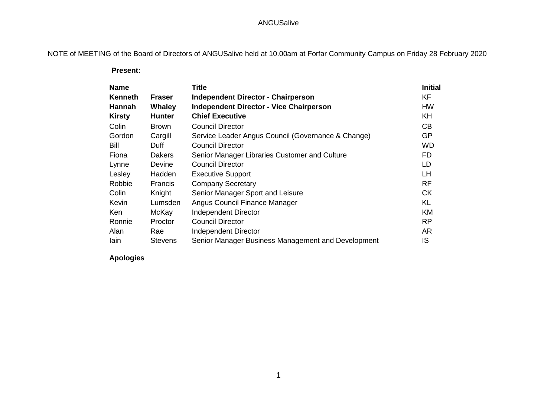# ANGUSalive

NOTE of MEETING of the Board of Directors of ANGUSalive held at 10.00am at Forfar Community Campus on Friday 28 February 2020

 **Present:**

| <b>Name</b>    |                | <b>Title</b>                                       | <b>Initial</b> |
|----------------|----------------|----------------------------------------------------|----------------|
| <b>Kenneth</b> | <b>Fraser</b>  | <b>Independent Director - Chairperson</b>          | <b>KF</b>      |
| Hannah         | <b>Whaley</b>  | <b>Independent Director - Vice Chairperson</b>     | <b>HW</b>      |
| <b>Kirsty</b>  | <b>Hunter</b>  | <b>Chief Executive</b>                             | KH             |
| Colin          | <b>Brown</b>   | <b>Council Director</b>                            | CB             |
| Gordon         | Cargill        | Service Leader Angus Council (Governance & Change) | <b>GP</b>      |
| Bill           | Duff           | <b>Council Director</b>                            | <b>WD</b>      |
| Fiona          | <b>Dakers</b>  | Senior Manager Libraries Customer and Culture      | <b>FD</b>      |
| Lynne          | Devine         | <b>Council Director</b>                            | LD             |
| Lesley         | Hadden         | <b>Executive Support</b>                           | LH.            |
| Robbie         | Francis        | <b>Company Secretary</b>                           | <b>RF</b>      |
| Colin          | Knight         | Senior Manager Sport and Leisure                   | <b>CK</b>      |
| Kevin          | Lumsden        | Angus Council Finance Manager                      | KL             |
| Ken            | McKay          | <b>Independent Director</b>                        | KM             |
| Ronnie         | Proctor        | <b>Council Director</b>                            | <b>RP</b>      |
| Alan           | Rae            | <b>Independent Director</b>                        | AR             |
| lain           | <b>Stevens</b> | Senior Manager Business Management and Development | IS             |

**Apologies**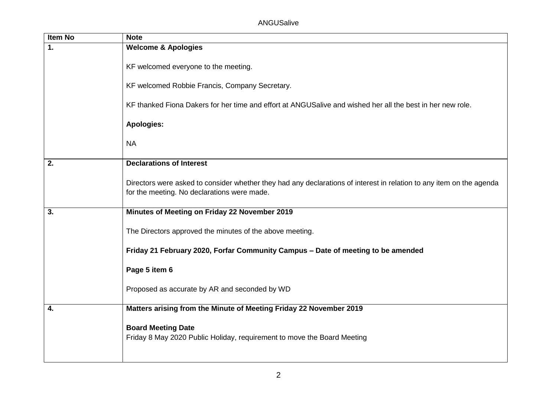| <b>Item No</b> | <b>Note</b>                                                                                                                                                         |
|----------------|---------------------------------------------------------------------------------------------------------------------------------------------------------------------|
| 1.             | <b>Welcome &amp; Apologies</b>                                                                                                                                      |
|                | KF welcomed everyone to the meeting.                                                                                                                                |
|                | KF welcomed Robbie Francis, Company Secretary.                                                                                                                      |
|                | KF thanked Fiona Dakers for her time and effort at ANGUSalive and wished her all the best in her new role.                                                          |
|                | <b>Apologies:</b>                                                                                                                                                   |
|                | <b>NA</b>                                                                                                                                                           |
| 2.             | <b>Declarations of Interest</b>                                                                                                                                     |
|                | Directors were asked to consider whether they had any declarations of interest in relation to any item on the agenda<br>for the meeting. No declarations were made. |
| 3.             | Minutes of Meeting on Friday 22 November 2019                                                                                                                       |
|                | The Directors approved the minutes of the above meeting.                                                                                                            |
|                | Friday 21 February 2020, Forfar Community Campus - Date of meeting to be amended                                                                                    |
|                | Page 5 item 6                                                                                                                                                       |
|                | Proposed as accurate by AR and seconded by WD                                                                                                                       |
| 4.             | Matters arising from the Minute of Meeting Friday 22 November 2019                                                                                                  |
|                | <b>Board Meeting Date</b><br>Friday 8 May 2020 Public Holiday, requirement to move the Board Meeting                                                                |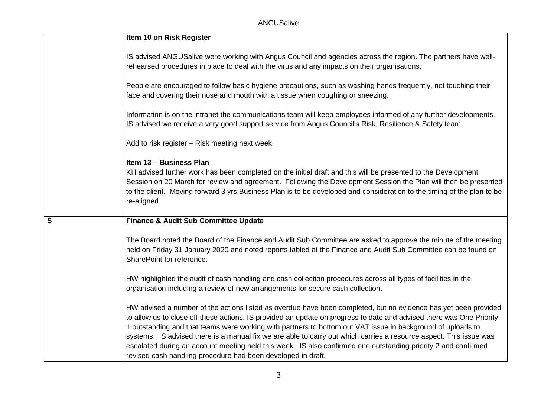|   | Item 10 on Risk Register                                                                                                                                                                                                                                                                                                                                                                                                                                                                                                                                                                                                                                       |
|---|----------------------------------------------------------------------------------------------------------------------------------------------------------------------------------------------------------------------------------------------------------------------------------------------------------------------------------------------------------------------------------------------------------------------------------------------------------------------------------------------------------------------------------------------------------------------------------------------------------------------------------------------------------------|
|   | IS advised ANGUSalive were working with Angus Council and agencies across the region. The partners have well-<br>rehearsed procedures in place to deal with the virus and any impacts on their organisations.                                                                                                                                                                                                                                                                                                                                                                                                                                                  |
|   | People are encouraged to follow basic hygiene precautions, such as washing hands frequently, not touching their<br>face and covering their nose and mouth with a tissue when coughing or sneezing.                                                                                                                                                                                                                                                                                                                                                                                                                                                             |
|   | Information is on the intranet the communications team will keep employees informed of any further developments.<br>IS advised we receive a very good support service from Angus Council's Risk, Resilience & Safety team.                                                                                                                                                                                                                                                                                                                                                                                                                                     |
|   | Add to risk register - Risk meeting next week.                                                                                                                                                                                                                                                                                                                                                                                                                                                                                                                                                                                                                 |
|   | Item 13 - Business Plan<br>KH advised further work has been completed on the initial draft and this will be presented to the Development<br>Session on 20 March for review and agreement. Following the Development Session the Plan will then be presented<br>to the client. Moving forward 3 yrs Business Plan is to be developed and consideration to the timing of the plan to be<br>re-aligned.                                                                                                                                                                                                                                                           |
| 5 | <b>Finance &amp; Audit Sub Committee Update</b>                                                                                                                                                                                                                                                                                                                                                                                                                                                                                                                                                                                                                |
|   | The Board noted the Board of the Finance and Audit Sub Committee are asked to approve the minute of the meeting<br>held on Friday 31 January 2020 and noted reports tabled at the Finance and Audit Sub Committee can be found on<br>SharePoint for reference.                                                                                                                                                                                                                                                                                                                                                                                                 |
|   | HW highlighted the audit of cash handling and cash collection procedures across all types of facilities in the<br>organisation including a review of new arrangements for secure cash collection.                                                                                                                                                                                                                                                                                                                                                                                                                                                              |
|   | HW advised a number of the actions listed as overdue have been completed, but no evidence has yet been provided<br>to allow us to close off these actions. IS provided an update on progress to date and advised there was One Priority<br>1 outstanding and that teams were working with partners to bottom out VAT issue in background of uploads to<br>systems. IS advised there is a manual fix we are able to carry out which carries a resource aspect. This issue was<br>escalated during an account meeting held this week. IS also confirmed one outstanding priority 2 and confirmed<br>revised cash handling procedure had been developed in draft. |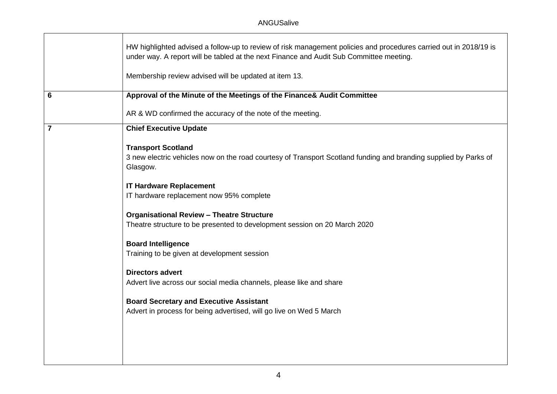# ANGUSalive

| HW highlighted advised a follow-up to review of risk management policies and procedures carried out in 2018/19 is<br>under way. A report will be tabled at the next Finance and Audit Sub Committee meeting. |
|--------------------------------------------------------------------------------------------------------------------------------------------------------------------------------------------------------------|
| Membership review advised will be updated at item 13.                                                                                                                                                        |
| Approval of the Minute of the Meetings of the Finance& Audit Committee                                                                                                                                       |
| AR & WD confirmed the accuracy of the note of the meeting.                                                                                                                                                   |
| <b>Chief Executive Update</b>                                                                                                                                                                                |
| <b>Transport Scotland</b><br>3 new electric vehicles now on the road courtesy of Transport Scotland funding and branding supplied by Parks of<br>Glasgow.                                                    |
| <b>IT Hardware Replacement</b><br>IT hardware replacement now 95% complete                                                                                                                                   |
| <b>Organisational Review - Theatre Structure</b><br>Theatre structure to be presented to development session on 20 March 2020                                                                                |
| <b>Board Intelligence</b><br>Training to be given at development session                                                                                                                                     |
| <b>Directors advert</b><br>Advert live across our social media channels, please like and share                                                                                                               |
| <b>Board Secretary and Executive Assistant</b><br>Advert in process for being advertised, will go live on Wed 5 March                                                                                        |
|                                                                                                                                                                                                              |
|                                                                                                                                                                                                              |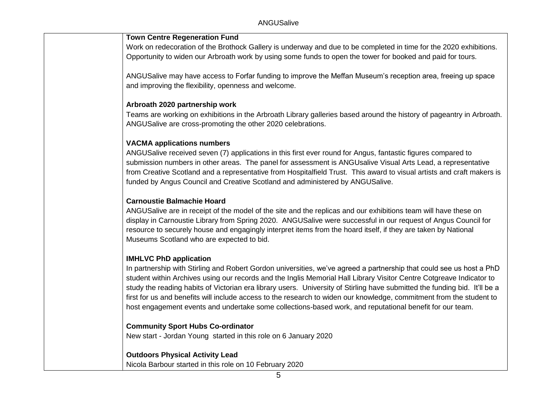### **Town Centre Regeneration Fund**

Work on redecoration of the Brothock Gallery is underway and due to be completed in time for the 2020 exhibitions. Opportunity to widen our Arbroath work by using some funds to open the tower for booked and paid for tours.

ANGUSalive may have access to Forfar funding to improve the Meffan Museum's reception area, freeing up space and improving the flexibility, openness and welcome.

## **Arbroath 2020 partnership work**

Teams are working on exhibitions in the Arbroath Library galleries based around the history of pageantry in Arbroath. ANGUSalive are cross-promoting the other 2020 celebrations.

## **VACMA applications numbers**

ANGUSalive received seven (7) applications in this first ever round for Angus, fantastic figures compared to submission numbers in other areas. The panel for assessment is ANGUsalive Visual Arts Lead, a representative from Creative Scotland and a representative from Hospitalfield Trust. This award to visual artists and craft makers is funded by Angus Council and Creative Scotland and administered by ANGUSalive.

# **Carnoustie Balmachie Hoard**

ANGUSalive are in receipt of the model of the site and the replicas and our exhibitions team will have these on display in Carnoustie Library from Spring 2020. ANGUSalive were successful in our request of Angus Council for resource to securely house and engagingly interpret items from the hoard itself, if they are taken by National Museums Scotland who are expected to bid.

## **IMHLVC PhD application**

In partnership with Stirling and Robert Gordon universities, we've agreed a partnership that could see us host a PhD student within Archives using our records and the Inglis Memorial Hall Library Visitor Centre Cotgreave Indicator to study the reading habits of Victorian era library users. University of Stirling have submitted the funding bid. It'll be a first for us and benefits will include access to the research to widen our knowledge, commitment from the student to host engagement events and undertake some collections-based work, and reputational benefit for our team.

### **Community Sport Hubs Co-ordinator**

New start - Jordan Young started in this role on 6 January 2020

# **Outdoors Physical Activity Lead**

Nicola Barbour started in this role on 10 February 2020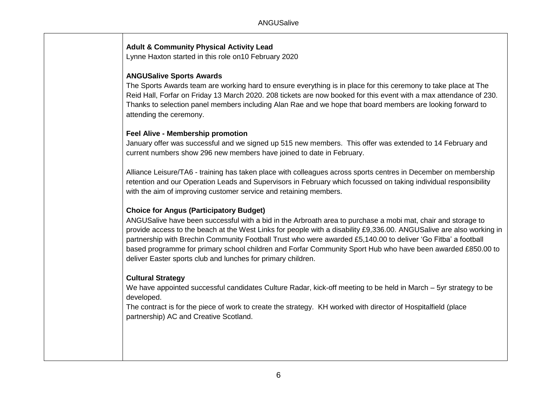## **Adult & Community Physical Activity Lead**

Lynne Haxton started in this role on10 February 2020

### **ANGUSalive Sports Awards**

The Sports Awards team are working hard to ensure everything is in place for this ceremony to take place at The Reid Hall, Forfar on Friday 13 March 2020. 208 tickets are now booked for this event with a max attendance of 230. Thanks to selection panel members including Alan Rae and we hope that board members are looking forward to attending the ceremony.

## **Feel Alive - Membership promotion**

January offer was successful and we signed up 515 new members. This offer was extended to 14 February and current numbers show 296 new members have joined to date in February.

Alliance Leisure/TA6 - training has taken place with colleagues across sports centres in December on membership retention and our Operation Leads and Supervisors in February which focussed on taking individual responsibility with the aim of improving customer service and retaining members.

## **Choice for Angus (Participatory Budget)**

ANGUSalive have been successful with a bid in the Arbroath area to purchase a mobi mat, chair and storage to provide access to the beach at the West Links for people with a disability £9,336.00. ANGUSalive are also working in partnership with Brechin Community Football Trust who were awarded £5,140.00 to deliver 'Go Fitba' a football based programme for primary school children and Forfar Community Sport Hub who have been awarded £850.00 to deliver Easter sports club and lunches for primary children.

### **Cultural Strategy**

We have appointed successful candidates Culture Radar, kick-off meeting to be held in March – 5yr strategy to be developed.

The contract is for the piece of work to create the strategy. KH worked with director of Hospitalfield (place partnership) AC and Creative Scotland.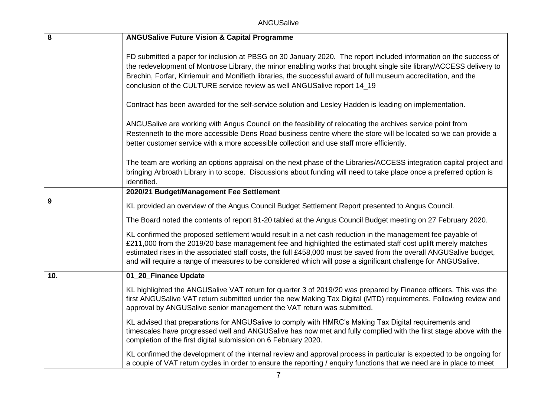ANGUSalive

| $\bf 8$ | <b>ANGUSalive Future Vision &amp; Capital Programme</b>                                                                                                                                                                                                                                                                                                                                                                                                           |
|---------|-------------------------------------------------------------------------------------------------------------------------------------------------------------------------------------------------------------------------------------------------------------------------------------------------------------------------------------------------------------------------------------------------------------------------------------------------------------------|
|         | FD submitted a paper for inclusion at PBSG on 30 January 2020. The report included information on the success of<br>the redevelopment of Montrose Library, the minor enabling works that brought single site library/ACCESS delivery to<br>Brechin, Forfar, Kirriemuir and Monifieth libraries, the successful award of full museum accreditation, and the<br>conclusion of the CULTURE service review as well ANGUSalive report 14_19                            |
|         | Contract has been awarded for the self-service solution and Lesley Hadden is leading on implementation.                                                                                                                                                                                                                                                                                                                                                           |
|         | ANGUSalive are working with Angus Council on the feasibility of relocating the archives service point from<br>Restenneth to the more accessible Dens Road business centre where the store will be located so we can provide a<br>better customer service with a more accessible collection and use staff more efficiently.                                                                                                                                        |
|         | The team are working an options appraisal on the next phase of the Libraries/ACCESS integration capital project and<br>bringing Arbroath Library in to scope. Discussions about funding will need to take place once a preferred option is<br>identified.                                                                                                                                                                                                         |
|         | 2020/21 Budget/Management Fee Settlement                                                                                                                                                                                                                                                                                                                                                                                                                          |
| 9       | KL provided an overview of the Angus Council Budget Settlement Report presented to Angus Council.                                                                                                                                                                                                                                                                                                                                                                 |
|         | The Board noted the contents of report 81-20 tabled at the Angus Council Budget meeting on 27 February 2020.                                                                                                                                                                                                                                                                                                                                                      |
|         | KL confirmed the proposed settlement would result in a net cash reduction in the management fee payable of<br>£211,000 from the 2019/20 base management fee and highlighted the estimated staff cost uplift merely matches<br>estimated rises in the associated staff costs, the full £458,000 must be saved from the overall ANGUSalive budget,<br>and will require a range of measures to be considered which will pose a significant challenge for ANGUSalive. |
| 10.     | 01_20_Finance Update                                                                                                                                                                                                                                                                                                                                                                                                                                              |
|         | KL highlighted the ANGUSalive VAT return for quarter 3 of 2019/20 was prepared by Finance officers. This was the<br>first ANGUSalive VAT return submitted under the new Making Tax Digital (MTD) requirements. Following review and<br>approval by ANGUSalive senior management the VAT return was submitted.                                                                                                                                                     |
|         | KL advised that preparations for ANGUSalive to comply with HMRC's Making Tax Digital requirements and<br>timescales have progressed well and ANGUSalive has now met and fully complied with the first stage above with the<br>completion of the first digital submission on 6 February 2020.                                                                                                                                                                      |
|         | KL confirmed the development of the internal review and approval process in particular is expected to be ongoing for<br>a couple of VAT return cycles in order to ensure the reporting / enquiry functions that we need are in place to meet                                                                                                                                                                                                                      |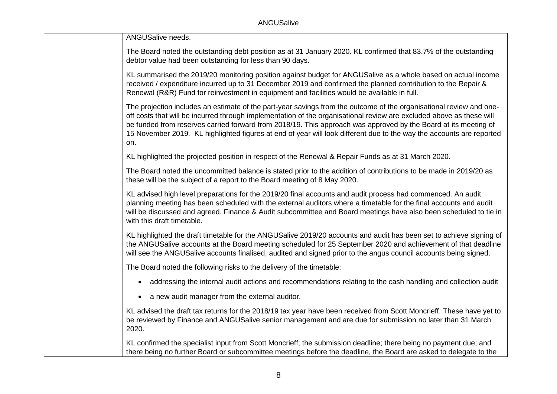| ANGUSalive needs.                                                                                                                                                                                                                                                                                                                                                                                                                                                                             |
|-----------------------------------------------------------------------------------------------------------------------------------------------------------------------------------------------------------------------------------------------------------------------------------------------------------------------------------------------------------------------------------------------------------------------------------------------------------------------------------------------|
| The Board noted the outstanding debt position as at 31 January 2020. KL confirmed that 83.7% of the outstanding<br>debtor value had been outstanding for less than 90 days.                                                                                                                                                                                                                                                                                                                   |
| KL summarised the 2019/20 monitoring position against budget for ANGUSalive as a whole based on actual income<br>received / expenditure incurred up to 31 December 2019 and confirmed the planned contribution to the Repair &<br>Renewal (R&R) Fund for reinvestment in equipment and facilities would be available in full.                                                                                                                                                                 |
| The projection includes an estimate of the part-year savings from the outcome of the organisational review and one-<br>off costs that will be incurred through implementation of the organisational review are excluded above as these will<br>be funded from reserves carried forward from 2018/19. This approach was approved by the Board at its meeting of<br>15 November 2019. KL highlighted figures at end of year will look different due to the way the accounts are reported<br>on. |
| KL highlighted the projected position in respect of the Renewal & Repair Funds as at 31 March 2020.                                                                                                                                                                                                                                                                                                                                                                                           |
| The Board noted the uncommitted balance is stated prior to the addition of contributions to be made in 2019/20 as<br>these will be the subject of a report to the Board meeting of 8 May 2020.                                                                                                                                                                                                                                                                                                |
| KL advised high level preparations for the 2019/20 final accounts and audit process had commenced. An audit<br>planning meeting has been scheduled with the external auditors where a timetable for the final accounts and audit<br>will be discussed and agreed. Finance & Audit subcommittee and Board meetings have also been scheduled to tie in<br>with this draft timetable.                                                                                                            |
| KL highlighted the draft timetable for the ANGUSalive 2019/20 accounts and audit has been set to achieve signing of<br>the ANGUSalive accounts at the Board meeting scheduled for 25 September 2020 and achievement of that deadline<br>will see the ANGUSalive accounts finalised, audited and signed prior to the angus council accounts being signed.                                                                                                                                      |
| The Board noted the following risks to the delivery of the timetable:                                                                                                                                                                                                                                                                                                                                                                                                                         |
| addressing the internal audit actions and recommendations relating to the cash handling and collection audit                                                                                                                                                                                                                                                                                                                                                                                  |
| a new audit manager from the external auditor.                                                                                                                                                                                                                                                                                                                                                                                                                                                |
| KL advised the draft tax returns for the 2018/19 tax year have been received from Scott Moncrieff. These have yet to<br>be reviewed by Finance and ANGUSalive senior management and are due for submission no later than 31 March<br>2020.                                                                                                                                                                                                                                                    |
| KL confirmed the specialist input from Scott Moncrieff; the submission deadline; there being no payment due; and<br>there being no further Board or subcommittee meetings before the deadline, the Board are asked to delegate to the                                                                                                                                                                                                                                                         |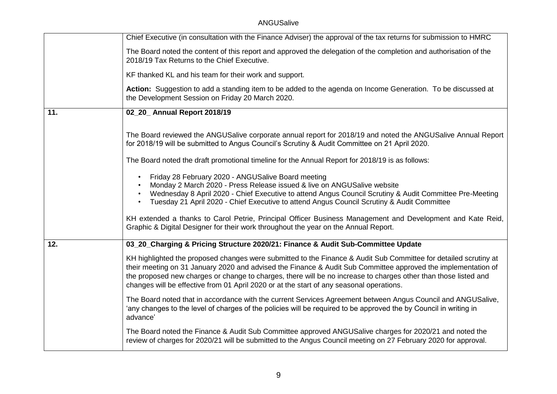# ANGUSalive

|     | Chief Executive (in consultation with the Finance Adviser) the approval of the tax returns for submission to HMRC                                                                                                                                                                                                                                                                                                                                |
|-----|--------------------------------------------------------------------------------------------------------------------------------------------------------------------------------------------------------------------------------------------------------------------------------------------------------------------------------------------------------------------------------------------------------------------------------------------------|
|     | The Board noted the content of this report and approved the delegation of the completion and authorisation of the<br>2018/19 Tax Returns to the Chief Executive.                                                                                                                                                                                                                                                                                 |
|     | KF thanked KL and his team for their work and support.                                                                                                                                                                                                                                                                                                                                                                                           |
|     | Action: Suggestion to add a standing item to be added to the agenda on Income Generation. To be discussed at<br>the Development Session on Friday 20 March 2020.                                                                                                                                                                                                                                                                                 |
| 11. | 02_20_ Annual Report 2018/19                                                                                                                                                                                                                                                                                                                                                                                                                     |
|     | The Board reviewed the ANGUSalive corporate annual report for 2018/19 and noted the ANGUSalive Annual Report<br>for 2018/19 will be submitted to Angus Council's Scrutiny & Audit Committee on 21 April 2020.                                                                                                                                                                                                                                    |
|     | The Board noted the draft promotional timeline for the Annual Report for 2018/19 is as follows:                                                                                                                                                                                                                                                                                                                                                  |
|     | Friday 28 February 2020 - ANGUSalive Board meeting<br>Monday 2 March 2020 - Press Release issued & live on ANGUSalive website<br>Wednesday 8 April 2020 - Chief Executive to attend Angus Council Scrutiny & Audit Committee Pre-Meeting<br>Tuesday 21 April 2020 - Chief Executive to attend Angus Council Scrutiny & Audit Committee                                                                                                           |
|     | KH extended a thanks to Carol Petrie, Principal Officer Business Management and Development and Kate Reid,<br>Graphic & Digital Designer for their work throughout the year on the Annual Report.                                                                                                                                                                                                                                                |
| 12. | 03_20_Charging & Pricing Structure 2020/21: Finance & Audit Sub-Committee Update                                                                                                                                                                                                                                                                                                                                                                 |
|     | KH highlighted the proposed changes were submitted to the Finance & Audit Sub Committee for detailed scrutiny at<br>their meeting on 31 January 2020 and advised the Finance & Audit Sub Committee approved the implementation of<br>the proposed new charges or change to charges, there will be no increase to charges other than those listed and<br>changes will be effective from 01 April 2020 or at the start of any seasonal operations. |
|     | The Board noted that in accordance with the current Services Agreement between Angus Council and ANGUSalive,<br>'any changes to the level of charges of the policies will be required to be approved the by Council in writing in<br>advance'                                                                                                                                                                                                    |
|     | The Board noted the Finance & Audit Sub Committee approved ANGUSalive charges for 2020/21 and noted the<br>review of charges for 2020/21 will be submitted to the Angus Council meeting on 27 February 2020 for approval.                                                                                                                                                                                                                        |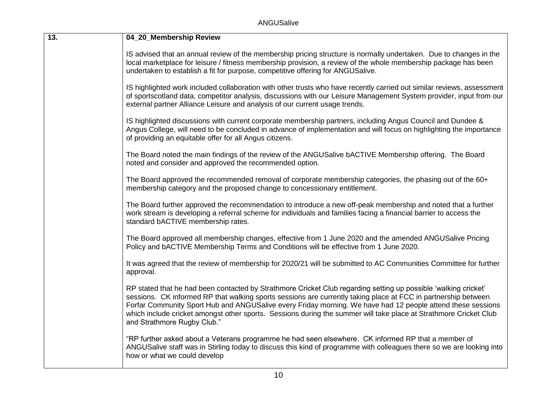| 13. | 04_20_Membership Review                                                                                                                                                                                                                                                                                                                                                                                                                                                                              |
|-----|------------------------------------------------------------------------------------------------------------------------------------------------------------------------------------------------------------------------------------------------------------------------------------------------------------------------------------------------------------------------------------------------------------------------------------------------------------------------------------------------------|
|     | IS advised that an annual review of the membership pricing structure is normally undertaken. Due to changes in the<br>local marketplace for leisure / fitness membership provision, a review of the whole membership package has been<br>undertaken to establish a fit for purpose, competitive offering for ANGUSalive.                                                                                                                                                                             |
|     | IS highlighted work included collaboration with other trusts who have recently carried out similar reviews, assessment<br>of sportscotland data, competitor analysis, discussions with our Leisure Management System provider, input from our<br>external partner Alliance Leisure and analysis of our current usage trends.                                                                                                                                                                         |
|     | IS highlighted discussions with current corporate membership partners, including Angus Council and Dundee &<br>Angus College, will need to be concluded in advance of implementation and will focus on highlighting the importance<br>of providing an equitable offer for all Angus citizens.                                                                                                                                                                                                        |
|     | The Board noted the main findings of the review of the ANGUSalive bACTIVE Membership offering. The Board<br>noted and consider and approved the recommended option.                                                                                                                                                                                                                                                                                                                                  |
|     | The Board approved the recommended removal of corporate membership categories, the phasing out of the 60+<br>membership category and the proposed change to concessionary entitlement.                                                                                                                                                                                                                                                                                                               |
|     | The Board further approved the recommendation to introduce a new off-peak membership and noted that a further<br>work stream is developing a referral scheme for individuals and families facing a financial barrier to access the<br>standard bACTIVE membership rates.                                                                                                                                                                                                                             |
|     | The Board approved all membership changes, effective from 1 June 2020 and the amended ANGUSalive Pricing<br>Policy and bACTIVE Membership Terms and Conditions will be effective from 1 June 2020.                                                                                                                                                                                                                                                                                                   |
|     | It was agreed that the review of membership for 2020/21 will be submitted to AC Communities Committee for further<br>approval.                                                                                                                                                                                                                                                                                                                                                                       |
|     | RP stated that he had been contacted by Strathmore Cricket Club regarding setting up possible 'walking cricket'<br>sessions. CK informed RP that walking sports sessions are currently taking place at FCC in partnership between<br>Forfar Community Sport Hub and ANGUSalive every Friday morning. We have had 12 people attend these sessions<br>which include cricket amongst other sports. Sessions during the summer will take place at Strathmore Cricket Club<br>and Strathmore Rugby Club." |
|     | "RP further asked about a Veterans programme he had seen elsewhere. CK informed RP that a member of<br>ANGUSalive staff was in Stirling today to discuss this kind of programme with colleagues there so we are looking into<br>how or what we could develop                                                                                                                                                                                                                                         |